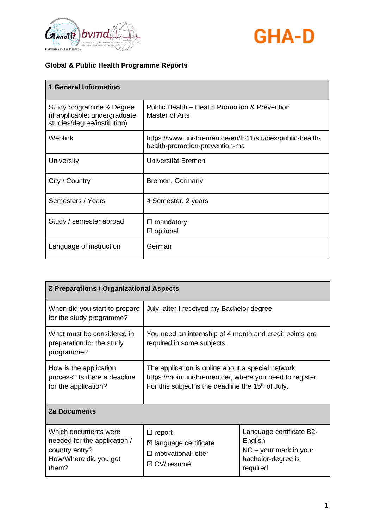



| <b>1 General Information</b>                                                             |                                                                                            |
|------------------------------------------------------------------------------------------|--------------------------------------------------------------------------------------------|
| Study programme & Degree<br>(if applicable: undergraduate<br>studies/degree/institution) | Public Health - Health Promotion & Prevention<br>Master of Arts                            |
| Weblink                                                                                  | https://www.uni-bremen.de/en/fb11/studies/public-health-<br>health-promotion-prevention-ma |
| <b>University</b>                                                                        | Universität Bremen                                                                         |
| City / Country                                                                           | Bremen, Germany                                                                            |
| Semesters / Years                                                                        | 4 Semester, 2 years                                                                        |
| Study / semester abroad                                                                  | mandatory<br>$\Box$<br>⊠ optional                                                          |
| Language of instruction                                                                  | German                                                                                     |

| 2 Preparations / Organizational Aspects                                                                  |                                                                                                                                                                       |                                                                                                   |
|----------------------------------------------------------------------------------------------------------|-----------------------------------------------------------------------------------------------------------------------------------------------------------------------|---------------------------------------------------------------------------------------------------|
| When did you start to prepare<br>for the study programme?                                                | July, after I received my Bachelor degree                                                                                                                             |                                                                                                   |
| What must be considered in<br>preparation for the study<br>programme?                                    | You need an internship of 4 month and credit points are<br>required in some subjects.                                                                                 |                                                                                                   |
| How is the application<br>process? Is there a deadline<br>for the application?                           | The application is online about a special network<br>https://moin.uni-bremen.de/, where you need to register.<br>For this subject is the deadline the $15th$ of July. |                                                                                                   |
| <b>2a Documents</b>                                                                                      |                                                                                                                                                                       |                                                                                                   |
| Which documents were<br>needed for the application /<br>country entry?<br>How/Where did you get<br>them? | $\Box$ report<br>⊠ language certificate<br>$\Box$ motivational letter<br>⊠ CV/ resumé                                                                                 | Language certificate B2-<br>English<br>$NC - your mark in your$<br>bachelor-degree is<br>required |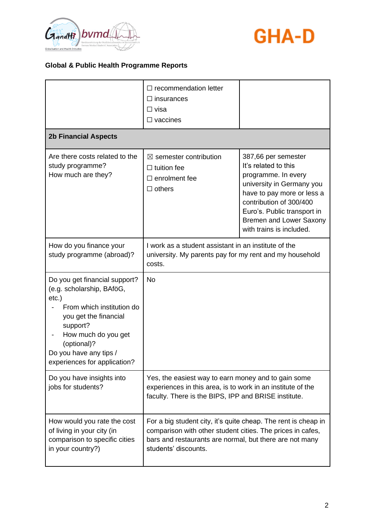



|                                                                                                                                                                                                                                          | $\Box$ recommendation letter<br>$\Box$ insurances<br>$\Box$ visa<br>$\Box$ vaccines                                                                                                                             |                                                                                                                                                                                                                                                |
|------------------------------------------------------------------------------------------------------------------------------------------------------------------------------------------------------------------------------------------|-----------------------------------------------------------------------------------------------------------------------------------------------------------------------------------------------------------------|------------------------------------------------------------------------------------------------------------------------------------------------------------------------------------------------------------------------------------------------|
| <b>2b Financial Aspects</b>                                                                                                                                                                                                              |                                                                                                                                                                                                                 |                                                                                                                                                                                                                                                |
| Are there costs related to the<br>study programme?<br>How much are they?                                                                                                                                                                 | $\boxtimes$ semester contribution<br>$\Box$ tuition fee<br>$\Box$ enrolment fee<br>$\Box$ others                                                                                                                | 387,66 per semester<br>It's related to this<br>programme. In every<br>university in Germany you<br>have to pay more or less a<br>contribution of 300/400<br>Euro's. Public transport in<br>Bremen and Lower Saxony<br>with trains is included. |
| How do you finance your<br>study programme (abroad)?                                                                                                                                                                                     | I work as a student assistant in an institute of the<br>university. My parents pay for my rent and my household<br>costs.                                                                                       |                                                                                                                                                                                                                                                |
| Do you get financial support?<br>(e.g. scholarship, BAföG,<br>$etc.$ )<br>From which institution do<br>you get the financial<br>support?<br>How much do you get<br>(optional)?<br>Do you have any tips /<br>experiences for application? | No                                                                                                                                                                                                              |                                                                                                                                                                                                                                                |
| Do you have insights into<br>jobs for students?                                                                                                                                                                                          | Yes, the easiest way to earn money and to gain some<br>experiences in this area, is to work in an institute of the<br>faculty. There is the BIPS, IPP and BRISE institute.                                      |                                                                                                                                                                                                                                                |
| How would you rate the cost<br>of living in your city (in<br>comparison to specific cities<br>in your country?)                                                                                                                          | For a big student city, it's quite cheap. The rent is cheap in<br>comparison with other student cities. The prices in cafes,<br>bars and restaurants are normal, but there are not many<br>students' discounts. |                                                                                                                                                                                                                                                |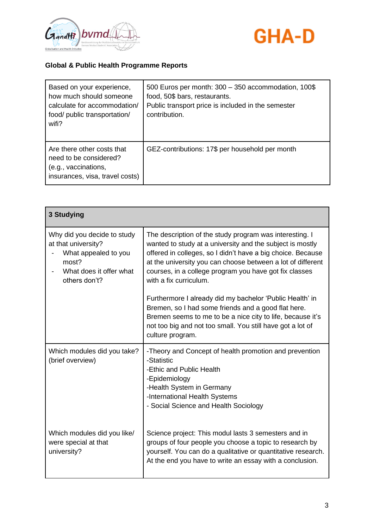



| Based on your experience,<br>how much should someone<br>calculate for accommodation/<br>food/ public transportation/<br>wifi? | 500 Euros per month: 300 - 350 accommodation, 100\$<br>food, 50\$ bars, restaurants.<br>Public transport price is included in the semester<br>contribution. |
|-------------------------------------------------------------------------------------------------------------------------------|-------------------------------------------------------------------------------------------------------------------------------------------------------------|
| Are there other costs that<br>need to be considered?<br>(e.g., vaccinations,<br>insurances, visa, travel costs)               | GEZ-contributions: 17\$ per household per month                                                                                                             |

| 3 Studying                                                                                                                      |                                                                                                                                                                                                                                                                                                                                        |
|---------------------------------------------------------------------------------------------------------------------------------|----------------------------------------------------------------------------------------------------------------------------------------------------------------------------------------------------------------------------------------------------------------------------------------------------------------------------------------|
| Why did you decide to study<br>at that university?<br>What appealed to you<br>most?<br>What does it offer what<br>others don't? | The description of the study program was interesting. I<br>wanted to study at a university and the subject is mostly<br>offered in colleges, so I didn't have a big choice. Because<br>at the university you can choose between a lot of different<br>courses, in a college program you have got fix classes<br>with a fix curriculum. |
|                                                                                                                                 | Furthermore I already did my bachelor 'Public Health' in<br>Bremen, so I had some friends and a good flat here.<br>Bremen seems to me to be a nice city to life, because it's<br>not too big and not too small. You still have got a lot of<br>culture program.                                                                        |
| Which modules did you take?<br>(brief overview)                                                                                 | -Theory and Concept of health promotion and prevention<br>-Statistic<br>-Ethic and Public Health<br>-Epidemiology<br>-Health System in Germany<br>-International Health Systems<br>- Social Science and Health Sociology                                                                                                               |
| Which modules did you like/<br>were special at that<br>university?                                                              | Science project: This modul lasts 3 semesters and in<br>groups of four people you choose a topic to research by<br>yourself. You can do a qualitative or quantitative research.<br>At the end you have to write an essay with a conclusion.                                                                                            |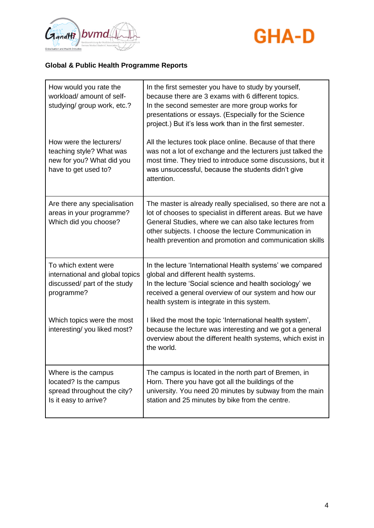



| How would you rate the<br>workload/ amount of self-<br>studying/ group work, etc.?                       | In the first semester you have to study by yourself,<br>because there are 3 exams with 6 different topics.<br>In the second semester are more group works for<br>presentations or essays. (Especially for the Science<br>project.) But it's less work than in the first semester.                          |
|----------------------------------------------------------------------------------------------------------|------------------------------------------------------------------------------------------------------------------------------------------------------------------------------------------------------------------------------------------------------------------------------------------------------------|
| How were the lecturers/<br>teaching style? What was<br>new for you? What did you<br>have to get used to? | All the lectures took place online. Because of that there<br>was not a lot of exchange and the lecturers just talked the<br>most time. They tried to introduce some discussions, but it<br>was unsuccessful, because the students didn't give<br>attention.                                                |
| Are there any specialisation<br>areas in your programme?<br>Which did you choose?                        | The master is already really specialised, so there are not a<br>lot of chooses to specialist in different areas. But we have<br>General Studies, where we can also take lectures from<br>other subjects. I choose the lecture Communication in<br>health prevention and promotion and communication skills |
| To which extent were<br>international and global topics<br>discussed/ part of the study<br>programme?    | In the lecture 'International Health systems' we compared<br>global and different health systems.<br>In the lecture 'Social science and health sociology' we<br>received a general overview of our system and how our<br>health system is integrate in this system.                                        |
| Which topics were the most<br>interesting/you liked most?                                                | I liked the most the topic 'International health system',<br>because the lecture was interesting and we got a general<br>overview about the different health systems, which exist in<br>the world.                                                                                                         |
| Where is the campus<br>located? Is the campus<br>spread throughout the city?<br>Is it easy to arrive?    | The campus is located in the north part of Bremen, in<br>Horn. There you have got all the buildings of the<br>university. You need 20 minutes by subway from the main<br>station and 25 minutes by bike from the centre.                                                                                   |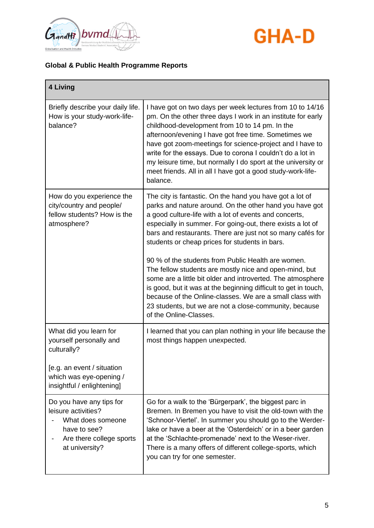



| 4 Living                                                                                                                                                |                                                                                                                                                                                                                                                                                                                                                                                                                                                                                                                                                                                                                                                                                                                                                               |
|---------------------------------------------------------------------------------------------------------------------------------------------------------|---------------------------------------------------------------------------------------------------------------------------------------------------------------------------------------------------------------------------------------------------------------------------------------------------------------------------------------------------------------------------------------------------------------------------------------------------------------------------------------------------------------------------------------------------------------------------------------------------------------------------------------------------------------------------------------------------------------------------------------------------------------|
| Briefly describe your daily life.<br>How is your study-work-life-<br>balance?                                                                           | I have got on two days per week lectures from 10 to 14/16<br>pm. On the other three days I work in an institute for early<br>childhood-development from 10 to 14 pm. In the<br>afternoon/evening I have got free time. Sometimes we<br>have got zoom-meetings for science-project and I have to<br>write for the essays. Due to corona I couldn't do a lot in<br>my leisure time, but normally I do sport at the university or<br>meet friends. All in all I have got a good study-work-life-<br>balance.                                                                                                                                                                                                                                                     |
| How do you experience the<br>city/country and people/<br>fellow students? How is the<br>atmosphere?                                                     | The city is fantastic. On the hand you have got a lot of<br>parks and nature around. On the other hand you have got<br>a good culture-life with a lot of events and concerts,<br>especially in summer. For going-out, there exists a lot of<br>bars and restaurants. There are just not so many cafés for<br>students or cheap prices for students in bars.<br>90 % of the students from Public Health are women.<br>The fellow students are mostly nice and open-mind, but<br>some are a little bit older and introverted. The atmosphere<br>is good, but it was at the beginning difficult to get in touch,<br>because of the Online-classes. We are a small class with<br>23 students, but we are not a close-community, because<br>of the Online-Classes. |
| What did you learn for<br>yourself personally and<br>culturally?<br>[e.g. an event / situation<br>which was eye-opening /<br>insightful / enlightening] | I learned that you can plan nothing in your life because the<br>most things happen unexpected.                                                                                                                                                                                                                                                                                                                                                                                                                                                                                                                                                                                                                                                                |
| Do you have any tips for<br>leisure activities?<br>What does someone<br>have to see?<br>Are there college sports<br>at university?                      | Go for a walk to the 'Bürgerpark', the biggest parc in<br>Bremen. In Bremen you have to visit the old-town with the<br>'Schnoor-Viertel'. In summer you should go to the Werder-<br>lake or have a beer at the 'Osterdeich' or in a beer garden<br>at the 'Schlachte-promenade' next to the Weser-river.<br>There is a many offers of different college-sports, which<br>you can try for one semester.                                                                                                                                                                                                                                                                                                                                                        |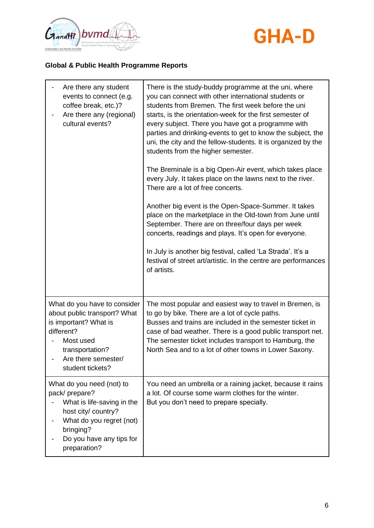



| Are there any student<br>events to connect (e.g.<br>coffee break, etc.)?<br>Are there any (regional)<br>cultural events?                                                             | There is the study-buddy programme at the uni, where<br>you can connect with other international students or<br>students from Bremen. The first week before the uni<br>starts, is the orientation-week for the first semester of<br>every subject. There you have got a programme with<br>parties and drinking-events to get to know the subject, the<br>uni, the city and the fellow-students. It is organized by the<br>students from the higher semester.<br>The Breminale is a big Open-Air event, which takes place<br>every July. It takes place on the lawns next to the river.<br>There are a lot of free concerts.<br>Another big event is the Open-Space-Summer. It takes<br>place on the marketplace in the Old-town from June until<br>September. There are on three/four days per week<br>concerts, readings and plays. It's open for everyone.<br>In July is another big festival, called 'La Strada'. It's a<br>festival of street art/artistic. In the centre are performances<br>of artists. |
|--------------------------------------------------------------------------------------------------------------------------------------------------------------------------------------|---------------------------------------------------------------------------------------------------------------------------------------------------------------------------------------------------------------------------------------------------------------------------------------------------------------------------------------------------------------------------------------------------------------------------------------------------------------------------------------------------------------------------------------------------------------------------------------------------------------------------------------------------------------------------------------------------------------------------------------------------------------------------------------------------------------------------------------------------------------------------------------------------------------------------------------------------------------------------------------------------------------|
| What do you have to consider<br>about public transport? What<br>is important? What is<br>different?<br>Most used<br>transportation?<br>Are there semester/<br>student tickets?       | The most popular and easiest way to travel in Bremen, is<br>to go by bike. There are a lot of cycle paths.<br>Busses and trains are included in the semester ticket in<br>case of bad weather. There is a good public transport net.<br>The semester ticket includes transport to Hamburg, the<br>North Sea and to a lot of other towns in Lower Saxony.                                                                                                                                                                                                                                                                                                                                                                                                                                                                                                                                                                                                                                                      |
| What do you need (not) to<br>pack/prepare?<br>What is life-saving in the<br>host city/ country?<br>What do you regret (not)<br>bringing?<br>Do you have any tips for<br>preparation? | You need an umbrella or a raining jacket, because it rains<br>a lot. Of course some warm clothes for the winter.<br>But you don't need to prepare specially.                                                                                                                                                                                                                                                                                                                                                                                                                                                                                                                                                                                                                                                                                                                                                                                                                                                  |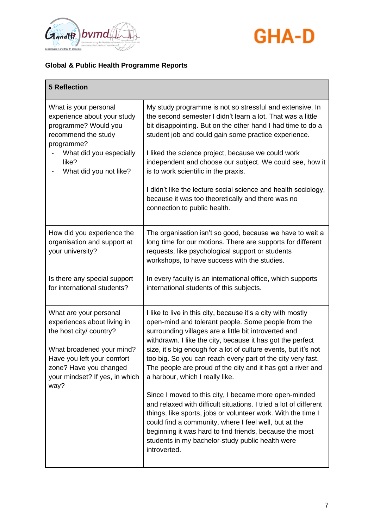



| <b>5 Reflection</b>                                                                                                                                                                                             |                                                                                                                                                                                                                                                                                                                                                                                                                                                                                |
|-----------------------------------------------------------------------------------------------------------------------------------------------------------------------------------------------------------------|--------------------------------------------------------------------------------------------------------------------------------------------------------------------------------------------------------------------------------------------------------------------------------------------------------------------------------------------------------------------------------------------------------------------------------------------------------------------------------|
| What is your personal<br>experience about your study<br>programme? Would you<br>recommend the study<br>programme?                                                                                               | My study programme is not so stressful and extensive. In<br>the second semester I didn't learn a lot. That was a little<br>bit disappointing. But on the other hand I had time to do a<br>student job and could gain some practice experience.                                                                                                                                                                                                                                 |
| What did you especially<br>like?<br>What did you not like?                                                                                                                                                      | I liked the science project, because we could work<br>independent and choose our subject. We could see, how it<br>is to work scientific in the praxis.                                                                                                                                                                                                                                                                                                                         |
|                                                                                                                                                                                                                 | I didn't like the lecture social science and health sociology,<br>because it was too theoretically and there was no<br>connection to public health.                                                                                                                                                                                                                                                                                                                            |
| How did you experience the<br>organisation and support at<br>your university?                                                                                                                                   | The organisation isn't so good, because we have to wait a<br>long time for our motions. There are supports for different<br>requests, like psychological support or students<br>workshops, to have success with the studies.                                                                                                                                                                                                                                                   |
| Is there any special support<br>for international students?                                                                                                                                                     | In every faculty is an international office, which supports<br>international students of this subjects.                                                                                                                                                                                                                                                                                                                                                                        |
| What are your personal<br>experiences about living in<br>the host city/ country?<br>What broadened your mind?<br>Have you left your comfort<br>zone? Have you changed<br>your mindset? If yes, in which<br>way? | I like to live in this city, because it's a city with mostly<br>open-mind and tolerant people. Some people from the<br>surrounding villages are a little bit introverted and<br>withdrawn. I like the city, because it has got the perfect<br>size, it's big enough for a lot of culture events, but it's not<br>too big. So you can reach every part of the city very fast.<br>The people are proud of the city and it has got a river and<br>a harbour, which I really like. |
|                                                                                                                                                                                                                 | Since I moved to this city, I became more open-minded<br>and relaxed with difficult situations. I tried a lot of different<br>things, like sports, jobs or volunteer work. With the time I<br>could find a community, where I feel well, but at the<br>beginning it was hard to find friends, because the most<br>students in my bachelor-study public health were<br>introverted.                                                                                             |